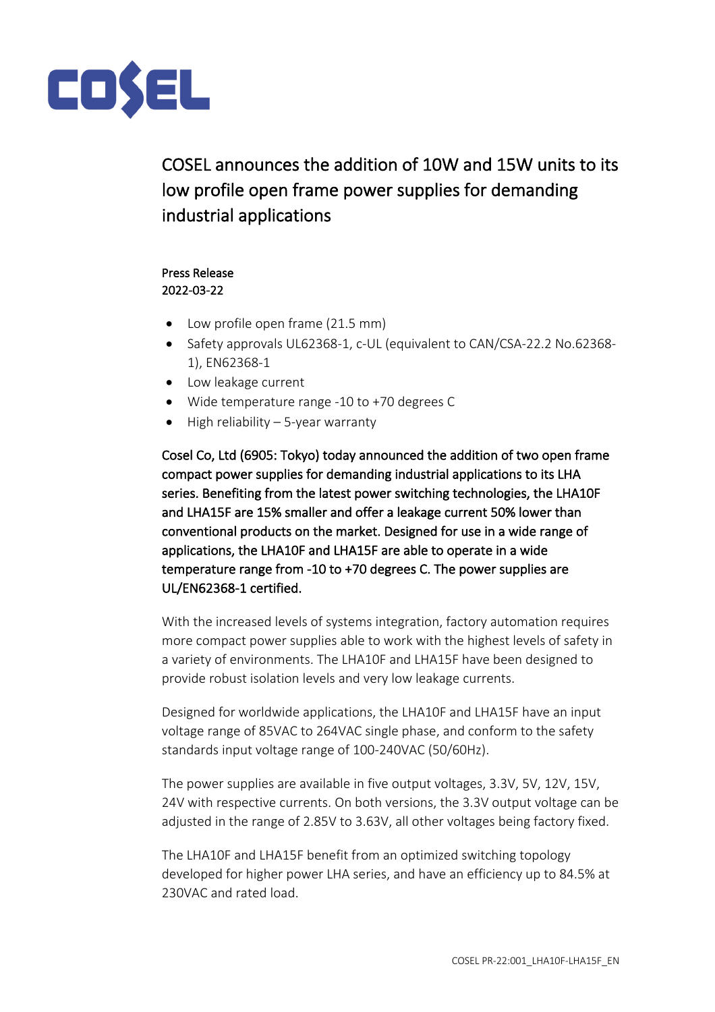

COSEL announces the addition of 10W and 15W units to its low profile open frame power supplies for demanding industrial applications

## Press Release 2022-03-22

- Low profile open frame (21.5 mm)
- Safety approvals UL62368-1, c-UL (equivalent to CAN/CSA-22.2 No.62368- 1), EN62368-1
- Low leakage current
- Wide temperature range -10 to +70 degrees C
- High reliability 5-year warranty

Cosel Co, Ltd (6905: Tokyo) today announced the addition of two open frame compact power supplies for demanding industrial applications to its LHA series. Benefiting from the latest power switching technologies, the LHA10F and LHA15F are 15% smaller and offer a leakage current 50% lower than conventional products on the market. Designed for use in a wide range of applications, the LHA10F and LHA15F are able to operate in a wide temperature range from -10 to +70 degrees C. The power supplies are UL/EN62368-1 certified.

With the increased levels of systems integration, factory automation requires more compact power supplies able to work with the highest levels of safety in a variety of environments. The LHA10F and LHA15F have been designed to provide robust isolation levels and very low leakage currents.

Designed for worldwide applications, the LHA10F and LHA15F have an input voltage range of 85VAC to 264VAC single phase, and conform to the safety standards input voltage range of 100-240VAC (50/60Hz).

The power supplies are available in five output voltages, 3.3V, 5V, 12V, 15V, 24V with respective currents. On both versions, the 3.3V output voltage can be adjusted in the range of 2.85V to 3.63V, all other voltages being factory fixed.

The LHA10F and LHA15F benefit from an optimized switching topology developed for higher power LHA series, and have an efficiency up to 84.5% at 230VAC and rated load.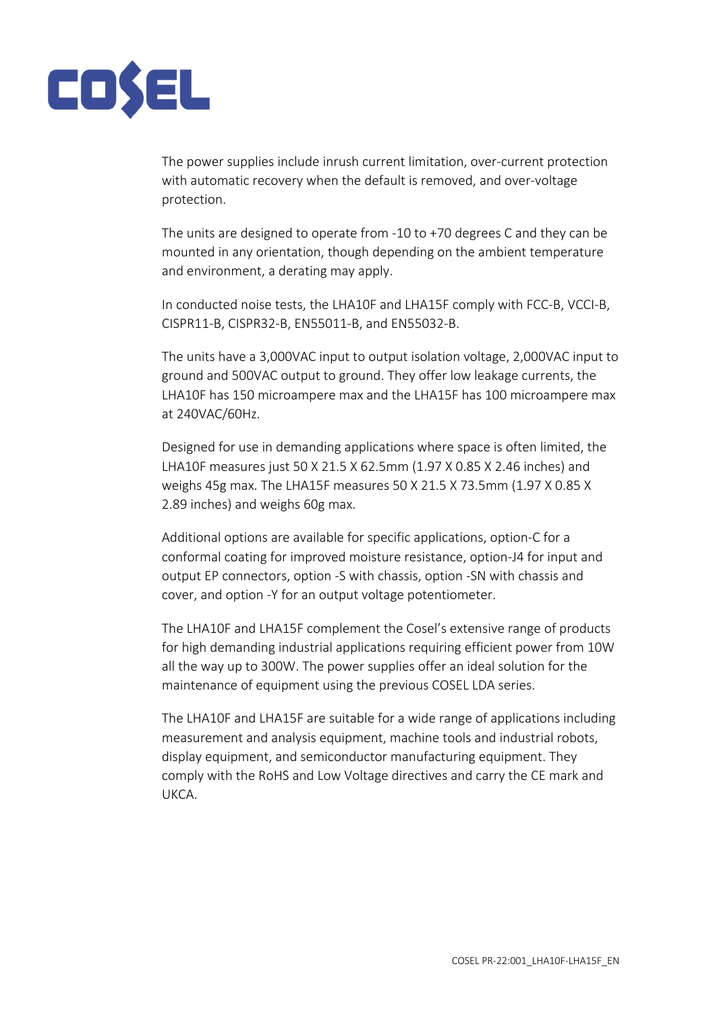

The power supplies include inrush current limitation, over-current protection with automatic recovery when the default is removed, and over-voltage protection.

The units are designed to operate from -10 to +70 degrees C and they can be mounted in any orientation, though depending on the ambient temperature and environment, a derating may apply.

In conducted noise tests, the LHA10F and LHA15F comply with FCC-B, VCCI-B, CISPR11-B, CISPR32-B, EN55011-B, and EN55032-B.

The units have a 3,000VAC input to output isolation voltage, 2,000VAC input to ground and 500VAC output to ground. They offer low leakage currents, the LHA10F has 150 microampere max and the LHA15F has 100 microampere max at 240VAC/60Hz.

Designed for use in demanding applications where space is often limited, the LHA10F measures just 50 X 21.5 X 62.5mm (1.97 X 0.85 X 2.46 inches) and weighs 45g max. The LHA15F measures 50 X 21.5 X 73.5mm (1.97 X 0.85 X 2.89 inches) and weighs 60g max.

Additional options are available for specific applications, option-C for a conformal coating for improved moisture resistance, option-J4 for input and output EP connectors, option -S with chassis, option -SN with chassis and cover, and option -Y for an output voltage potentiometer.

The LHA10F and LHA15F complement the Cosel's extensive range of products for high demanding industrial applications requiring efficient power from 10W all the way up to 300W. The power supplies offer an ideal solution for the maintenance of equipment using the previous COSEL LDA series.

The LHA10F and LHA15F are suitable for a wide range of applications including measurement and analysis equipment, machine tools and industrial robots, display equipment, and semiconductor manufacturing equipment. They comply with the RoHS and Low Voltage directives and carry the CE mark and UKCA.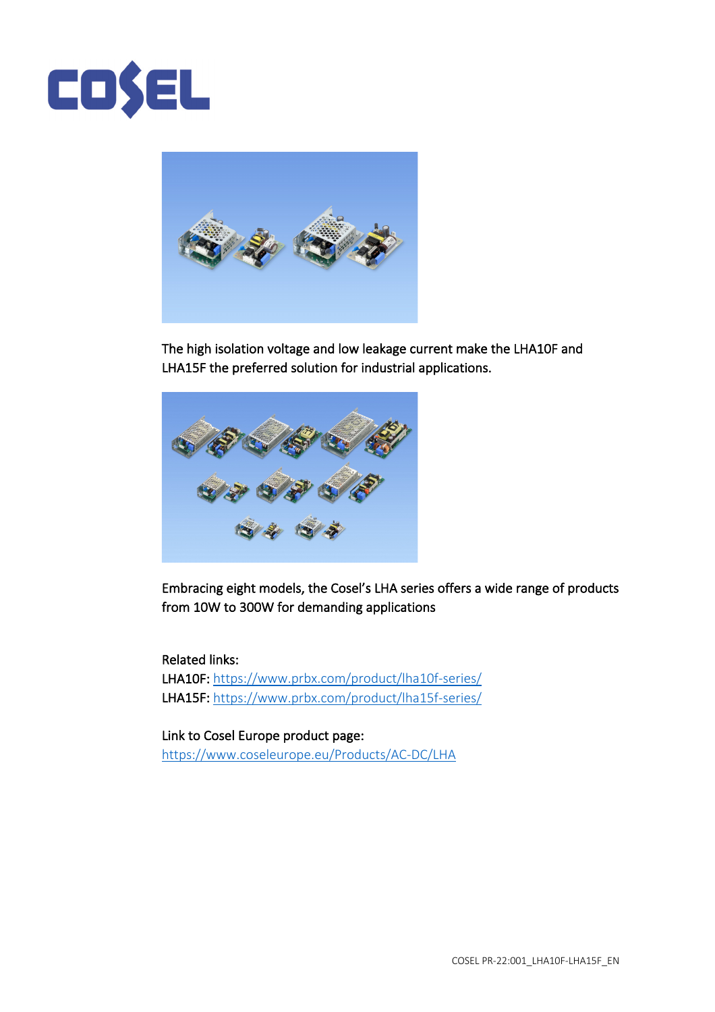



The high isolation voltage and low leakage current make the LHA10F and LHA15F the preferred solution for industrial applications.



Embracing eight models, the Cosel's LHA series offers a wide range of products from 10W to 300W for demanding applications

Related links: LHA10F: https://www.prbx.com/product/lha10f-series/ LHA15F: https://www.prbx.com/product/lha15f-series/

Link to Cosel Europe product page: https://www.coseleurope.eu/Products/AC-DC/LHA